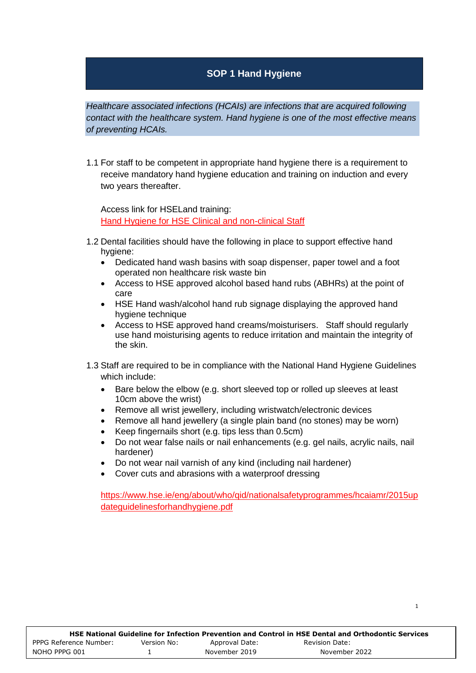## **SOP 1 Hand Hygiene**

*Healthcare associated infections (HCAIs) are infections that are acquired following contact with the healthcare system. Hand hygiene is one of the most effective means of preventing HCAIs.* 

1.1 For staff to be competent in appropriate hand hygiene there is a requirement to receive mandatory hand hygiene education and training on induction and every two years thereafter.

Access link for HSELand training: [Hand Hygiene for HSE Clinical and non-clinical Staff](https://www.hseland.ie/ekp/servlet/ekp?PX=N&TEACHREVIEW=N&PTX=&CID=EKP000000538&TX=FORMAT1&LANGUAGE_TAG=0&DECORATEPAGE=N)

- 1.2 Dental facilities should have the following in place to support effective hand hygiene:
	- Dedicated hand wash basins with soap dispenser, paper towel and a foot operated non healthcare risk waste bin
	- Access to HSE approved alcohol based hand rubs (ABHRs) at the point of care
	- HSE Hand wash/alcohol hand rub signage displaying the approved hand hygiene technique
	- Access to HSE approved hand creams/moisturisers. Staff should regularly use hand moisturising agents to reduce irritation and maintain the integrity of the skin.
- 1.3 Staff are required to be in compliance with the National Hand Hygiene Guidelines which include:
	- Bare below the elbow (e.g. short sleeved top or rolled up sleeves at least 10cm above the wrist)
	- Remove all wrist jewellery, including wristwatch/electronic devices
	- Remove all hand jewellery (a single plain band (no stones) may be worn)
	- Keep fingernails short (e.g. tips less than 0.5cm)
	- Do not wear false nails or nail enhancements (e.g. gel nails, acrylic nails, nail hardener)
	- Do not wear nail varnish of any kind (including nail hardener)
	- Cover cuts and abrasions with a waterproof dressing

[https://www.hse.ie/eng/about/who/qid/nationalsafetyprogrammes/hcaiamr/2015up](https://www.hse.ie/eng/about/who/qid/nationalsafetyprogrammes/hcaiamr/2015updateguidelinesforhandhygiene.pdf) [dateguidelinesforhandhygiene.pdf](https://www.hse.ie/eng/about/who/qid/nationalsafetyprogrammes/hcaiamr/2015updateguidelinesforhandhygiene.pdf)

1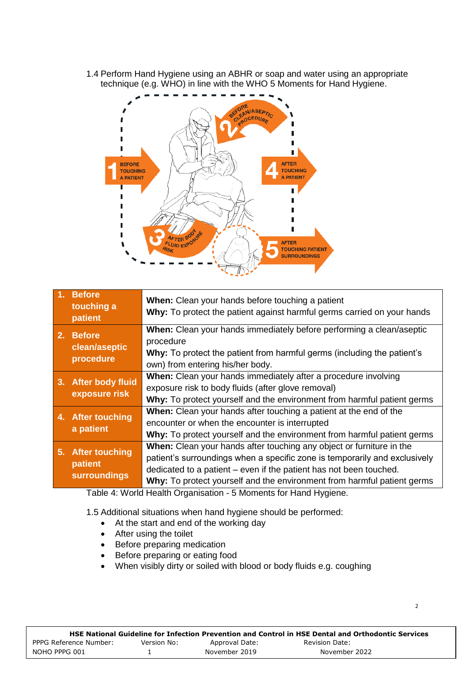1.4 Perform Hand Hygiene using an ABHR or soap and water using an appropriate technique (e.g. WHO) in line with the WHO 5 Moments for Hand Hygiene.



|                                                                                          | 1. Before<br>touching a<br>patient                                                                                                                                                                                               | When: Clean your hands before touching a patient<br>Why: To protect the patient against harmful germs carried on your hands                                                                                                                                                                         |
|------------------------------------------------------------------------------------------|----------------------------------------------------------------------------------------------------------------------------------------------------------------------------------------------------------------------------------|-----------------------------------------------------------------------------------------------------------------------------------------------------------------------------------------------------------------------------------------------------------------------------------------------------|
| 2. Before<br>procedure<br>clean/aseptic<br>procedure<br>own) from entering his/her body. |                                                                                                                                                                                                                                  | <b>When:</b> Clean your hands immediately before performing a clean/aseptic<br>Why: To protect the patient from harmful germs (including the patient's                                                                                                                                              |
|                                                                                          | 3. After body fluid<br>exposure risk                                                                                                                                                                                             | When: Clean your hands immediately after a procedure involving<br>exposure risk to body fluids (after glove removal)<br>Why: To protect yourself and the environment from harmful patient germs                                                                                                     |
|                                                                                          | When: Clean your hands after touching a patient at the end of the<br>4. After touching<br>encounter or when the encounter is interrupted<br>a patient<br>Why: To protect yourself and the environment from harmful patient germs |                                                                                                                                                                                                                                                                                                     |
|                                                                                          | 5. After touching<br>patient<br>surroundings                                                                                                                                                                                     | When: Clean your hands after touching any object or furniture in the<br>patient's surroundings when a specific zone is temporarily and exclusively<br>dedicated to a patient – even if the patient has not been touched.<br>Why: To protect yourself and the environment from harmful patient germs |

Table 4: World Health Organisation *-* 5 Moments for Hand Hygiene.

1.5 Additional situations when hand hygiene should be performed:

- At the start and end of the working day
- After using the toilet
- Before preparing medication
- Before preparing or eating food
- When visibly dirty or soiled with blood or body fluids e.g. coughing

|                        |             |                | HSE National Guideline for Infection Prevention and Control in HSE Dental and Orthodontic Services |
|------------------------|-------------|----------------|----------------------------------------------------------------------------------------------------|
| PPPG Reference Number: | Version No: | Approval Date: | Revision Date:                                                                                     |
| NOHO PPPG 001          |             | November 2019  | November 2022                                                                                      |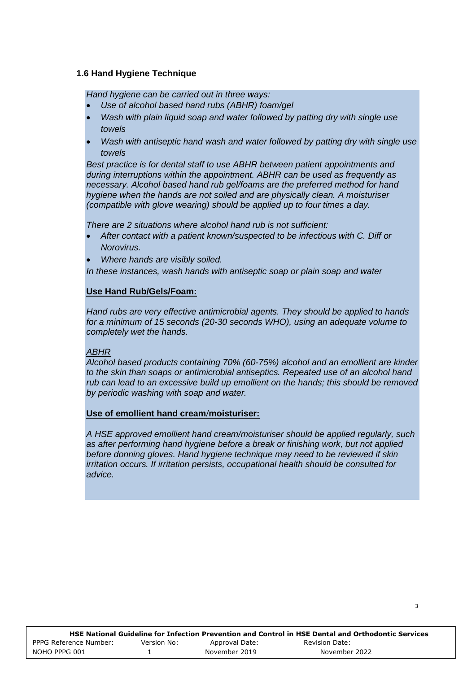#### **1.6 Hand Hygiene Technique**

*Hand hygiene can be carried out in three ways:*

- *Use of alcohol based hand rubs (ABHR) foam/gel*
- *Wash with plain liquid soap and water followed by patting dry with single use towels*
- *Wash with antiseptic hand wash and water followed by patting dry with single use towels*

*Best practice is for dental staff to use ABHR between patient appointments and during interruptions within the appointment. ABHR can be used as frequently as necessary. Alcohol based hand rub gel/foams are the preferred method for hand hygiene when the hands are not soiled and are physically clean. A moisturiser (compatible with glove wearing) should be applied up to four times a day.*

*There are 2 situations where alcohol hand rub is not sufficient:*

- *After contact with a patient known/suspected to be infectious with C. Diff or Norovirus.*
- *Where hands are visibly soiled.*

*In these instances, wash hands with antiseptic soap or plain soap and water*

#### **Use Hand Rub/Gels/Foam:**

*Hand rubs are very effective antimicrobial agents. They should be applied to hands for a minimum of 15 seconds (20-30 seconds WHO), using an adequate volume to completely wet the hands.*

#### *ABHR*

*Alcohol based products containing 70% (60-75%) alcohol and an emollient are kinder to the skin than soaps or antimicrobial antiseptics. Repeated use of an alcohol hand rub can lead to an excessive build up emollient on the hands; this should be removed by periodic washing with soap and water.* 

#### **Use of emollient hand cream/moisturiser:**

*A HSE approved emollient hand cream/moisturiser should be applied regularly, such as after performing hand hygiene before a break or finishing work, but not applied before donning gloves. Hand hygiene technique may need to be reviewed if skin irritation occurs. If irritation persists, occupational health should be consulted for advice.* 

|                        |             |                | HSE National Guideline for Infection Prevention and Control in HSE Dental and Orthodontic Services |
|------------------------|-------------|----------------|----------------------------------------------------------------------------------------------------|
| PPPG Reference Number: | Version No: | Approval Date: | Revision Date:                                                                                     |
| NOHO PPPG 001          |             | November 2019  | November 2022                                                                                      |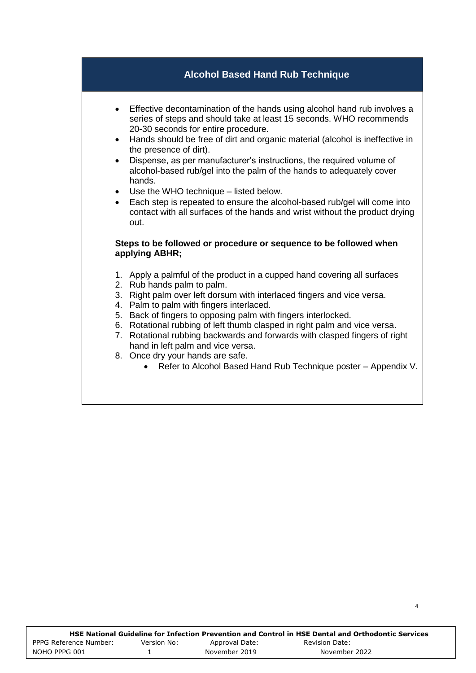## **Alcohol Based Hand Rub Technique**

- Effective decontamination of the hands using alcohol hand rub involves a series of steps and should take at least 15 seconds. WHO recommends 20-30 seconds for entire procedure.
- Hands should be free of dirt and organic material (alcohol is ineffective in the presence of dirt).
- Dispense, as per manufacturer's instructions, the required volume of alcohol-based rub/gel into the palm of the hands to adequately cover hands.
- Use the WHO technique listed below.
- Each step is repeated to ensure the alcohol-based rub/gel will come into contact with all surfaces of the hands and wrist without the product drying out.

#### **Steps to be followed or procedure or sequence to be followed when applying ABHR;**

- 1. Apply a palmful of the product in a cupped hand covering all surfaces
- 2. Rub hands palm to palm.
- 3. Right palm over left dorsum with interlaced fingers and vice versa.
- 4. Palm to palm with fingers interlaced.
- 5. Back of fingers to opposing palm with fingers interlocked.
- 6. Rotational rubbing of left thumb clasped in right palm and vice versa.
- 7. Rotational rubbing backwards and forwards with clasped fingers of right hand in left palm and vice versa.
- 8. Once dry your hands are safe.
	- Refer to Alcohol Based Hand Rub Technique poster Appendix V.

4

|                        |             |                | HSE National Guideline for Infection Prevention and Control in HSE Dental and Orthodontic Services |  |
|------------------------|-------------|----------------|----------------------------------------------------------------------------------------------------|--|
| PPPG Reference Number: | Version No: | Approval Date: | Revision Date:                                                                                     |  |
| NOHO PPPG 001          |             | November 2019  | November 2022                                                                                      |  |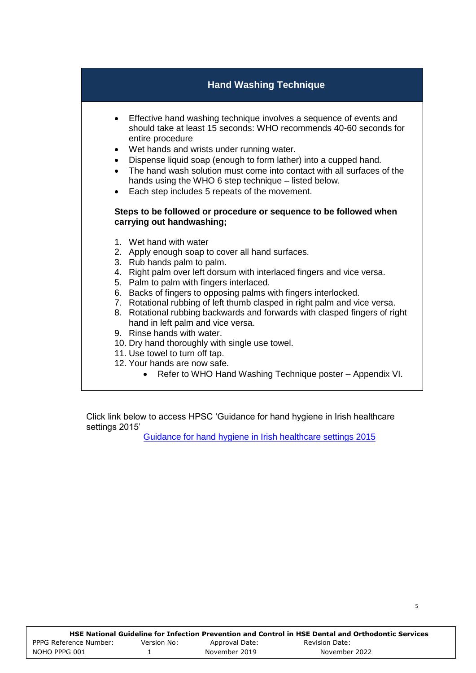## **Hand Washing Technique**

- Effective hand washing technique involves a sequence of events and should take at least 15 seconds: WHO recommends 40-60 seconds for entire procedure
- Wet hands and wrists under running water.
- Dispense liquid soap (enough to form lather) into a cupped hand.
- The hand wash solution must come into contact with all surfaces of the hands using the WHO 6 step technique – listed below.
- Each step includes 5 repeats of the movement.

#### **Steps to be followed or procedure or sequence to be followed when carrying out handwashing;**

- 1. Wet hand with water
- 2. Apply enough soap to cover all hand surfaces.
- 3. Rub hands palm to palm.
- 4. Right palm over left dorsum with interlaced fingers and vice versa.
- 5. Palm to palm with fingers interlaced.
- 6. Backs of fingers to opposing palms with fingers interlocked.
- 7. Rotational rubbing of left thumb clasped in right palm and vice versa.
- 8. Rotational rubbing backwards and forwards with clasped fingers of right hand in left palm and vice versa.
- 9. Rinse hands with water.
- 10. Dry hand thoroughly with single use towel.
- 11. Use towel to turn off tap.
- 12. Your hands are now safe.
	- Refer to WHO Hand Washing Technique poster Appendix VI.

Click link below to access HPSC 'Guidance for hand hygiene in Irish healthcare settings 2015'

[Guidance for hand hygiene in Irish healthcare settings 2015](https://www.hpsc.ie/a-z/microbiologyantimicrobialresistance/infectioncontrolandhai/guidelines/File,15060,en.pdf)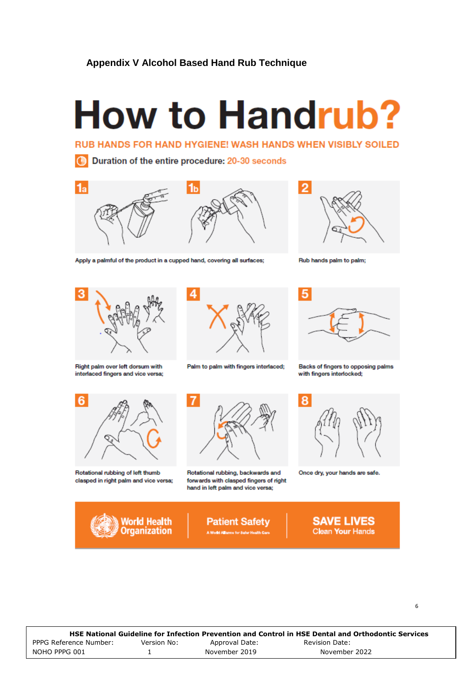### **Appendix V Alcohol Based Hand Rub Technique**

## **How to Handrub?**

**RUB HANDS FOR HAND HYGIENE! WASH HANDS WHEN VISIBLY SOILED** 

Duration of the entire procedure: 20-30 seconds  $\Omega$ 



Apply a palmful of the product in a cupped hand, covering all surfaces;



Rub hands palm to palm;



Right palm over left dorsum with interlaced fingers and vice versa;



Palm to palm with fingers interlaced;



Rotational rubbing of left thumb clasped in right palm and vice versa;

World Health

**Organization** 



Rotational rubbing, backwards and forwards with clasped fingers of right hand in left palm and vice versa:





Backs of fingers to opposing palms with fingers interlocked;



Once dry, your hands are safe.

**SAVE LIVES**<br>Clean Your Hands

|                        |             |                | HSE National Guideline for Infection Prevention and Control in HSE Dental and Orthodontic Services |
|------------------------|-------------|----------------|----------------------------------------------------------------------------------------------------|
| PPPG Reference Number: | Version No: | Approval Date: | Revision Date:                                                                                     |
| NOHO PPPG 001          |             | November 2019  | November 2022                                                                                      |